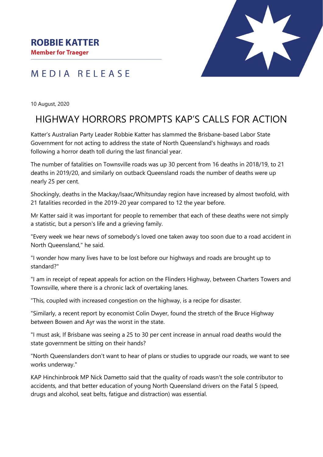### **ROBBIE KATTER**

**Member for Traeger** 

## MEDIA RELEASE



10 August, 2020

# HIGHWAY HORRORS PROMPTS KAP'S CALLS FOR ACTION

Katter's Australian Party Leader Robbie Katter has slammed the Brisbane-based Labor State Government for not acting to address the state of North Queensland's highways and roads following a horror death toll during the last financial year.

The number of fatalities on Townsville roads was up 30 percent from 16 deaths in 2018/19, to 21 deaths in 2019/20, and similarly on outback Queensland roads the number of deaths were up nearly 25 per cent.

Shockingly, deaths in the Mackay/Isaac/Whitsunday region have increased by almost twofold, with 21 fatalities recorded in the 2019-20 year compared to 12 the year before.

Mr Katter said it was important for people to remember that each of these deaths were not simply a statistic, but a person's life and a grieving family.

"Every week we hear news of somebody's loved one taken away too soon due to a road accident in North Queensland," he said.

"I wonder how many lives have to be lost before our highways and roads are brought up to standard?"

"I am in receipt of repeat appeals for action on the Flinders Highway, between Charters Towers and Townsville, where there is a chronic lack of overtaking lanes.

"This, coupled with increased congestion on the highway, is a recipe for disaster.

"Similarly, a recent report by economist Colin Dwyer, found the stretch of the Bruce Highway between Bowen and Ayr was the worst in the state.

"I must ask, If Brisbane was seeing a 25 to 30 per cent increase in annual road deaths would the state government be sitting on their hands?

"North Queenslanders don't want to hear of plans or studies to upgrade our roads, we want to see works underway."

KAP Hinchinbrook MP Nick Dametto said that the quality of roads wasn't the sole contributor to accidents, and that better education of young North Queensland drivers on the Fatal 5 (speed, drugs and alcohol, seat belts, fatigue and distraction) was essential.